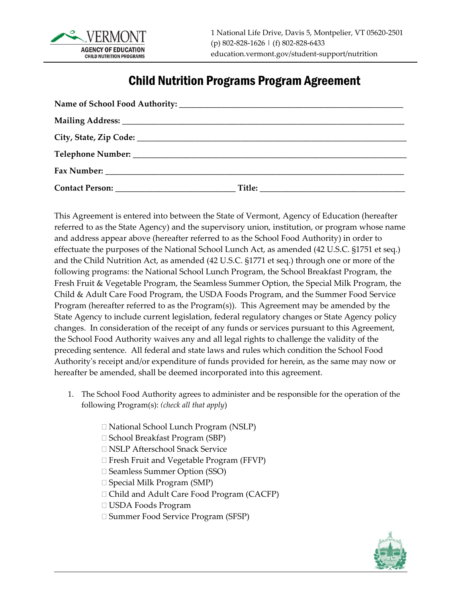

## Child Nutrition Programs Program Agreement

| Contact Person: Title: Title: |  |
|-------------------------------|--|

This Agreement is entered into between the State of Vermont, Agency of Education (hereafter referred to as the State Agency) and the supervisory union, institution, or program whose name and address appear above (hereafter referred to as the School Food Authority) in order to effectuate the purposes of the National School Lunch Act, as amended (42 U.S.C. §1751 et seq.) and the Child Nutrition Act, as amended (42 U.S.C. §1771 et seq.) through one or more of the following programs: the National School Lunch Program, the School Breakfast Program, the Fresh Fruit & Vegetable Program, the Seamless Summer Option, the Special Milk Program, the Child & Adult Care Food Program, the USDA Foods Program, and the Summer Food Service Program (hereafter referred to as the Program(s)). This Agreement may be amended by the State Agency to include current legislation, federal regulatory changes or State Agency policy changes. In consideration of the receipt of any funds or services pursuant to this Agreement, the School Food Authority waives any and all legal rights to challenge the validity of the preceding sentence. All federal and state laws and rules which condition the School Food Authority's receipt and/or expenditure of funds provided for herein, as the same may now or hereafter be amended, shall be deemed incorporated into this agreement.

- 1. The School Food Authority agrees to administer and be responsible for the operation of the following Program(s): *(check all that apply*)
	- National School Lunch Program (NSLP)
	- $\Box$  School Breakfast Program (SBP)
	- NSLP Afterschool Snack Service
	- □ Fresh Fruit and Vegetable Program (FFVP)
	- □ Seamless Summer Option (SSO)
	- $\Box$  Special Milk Program (SMP)
	- Child and Adult Care Food Program (CACFP)
	- USDA Foods Program
	- □ Summer Food Service Program (SFSP)

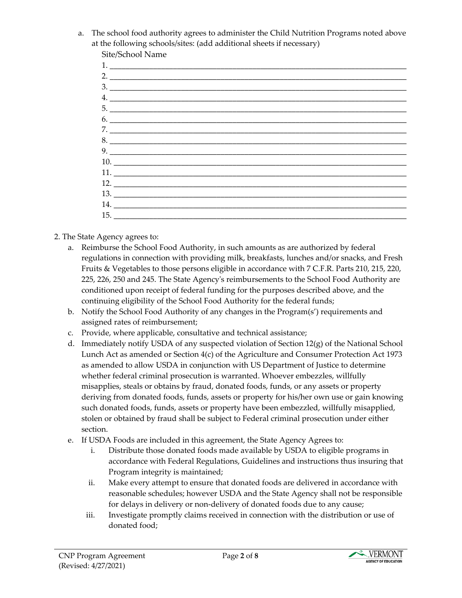a. The school food authority agrees to administer the Child Nutrition Programs noted above at the following schools/sites: (add additional sheets if necessary)

- 1. 2.  $\frac{1}{2}$  $3. \_$ 4. \_\_\_\_\_\_\_\_\_\_\_\_\_\_\_\_\_\_\_\_\_\_\_\_\_\_\_\_\_\_\_\_\_\_\_\_\_\_\_\_\_\_\_\_\_\_\_\_\_\_\_\_\_\_\_\_\_\_\_\_\_\_\_\_\_\_\_\_\_\_\_\_\_\_\_ 5. \_\_\_\_\_\_\_\_\_\_\_\_\_\_\_\_\_\_\_\_\_\_\_\_\_\_\_\_\_\_\_\_\_\_\_\_\_\_\_\_\_\_\_\_\_\_\_\_\_\_\_\_\_\_\_\_\_\_\_\_\_\_\_\_\_\_\_\_\_\_\_\_\_\_\_  $6.$   $-$ 7. \_\_\_\_\_\_\_\_\_\_\_\_\_\_\_\_\_\_\_\_\_\_\_\_\_\_\_\_\_\_\_\_\_\_\_\_\_\_\_\_\_\_\_\_\_\_\_\_\_\_\_\_\_\_\_\_\_\_\_\_\_\_\_\_\_\_\_\_\_\_\_\_\_\_\_  $8.$  $9.$ 10. \_\_\_\_\_\_\_\_\_\_\_\_\_\_\_\_\_\_\_\_\_\_\_\_\_\_\_\_\_\_\_\_\_\_\_\_\_\_\_\_\_\_\_\_\_\_\_\_\_\_\_\_\_\_\_\_\_\_\_\_\_\_\_\_\_\_\_\_\_\_\_\_\_\_ 11. \_\_\_\_\_\_\_\_\_\_\_\_\_\_\_\_\_\_\_\_\_\_\_\_\_\_\_\_\_\_\_\_\_\_\_\_\_\_\_\_\_\_\_\_\_\_\_\_\_\_\_\_\_\_\_\_\_\_\_\_\_\_\_\_\_\_\_\_\_\_\_\_\_\_ 12. \_\_\_\_\_\_\_\_\_\_\_\_\_\_\_\_\_\_\_\_\_\_\_\_\_\_\_\_\_\_\_\_\_\_\_\_\_\_\_\_\_\_\_\_\_\_\_\_\_\_\_\_\_\_\_\_\_\_\_\_\_\_\_\_\_\_\_\_\_\_\_\_\_\_ 13. \_\_\_\_\_\_\_\_\_\_\_\_\_\_\_\_\_\_\_\_\_\_\_\_\_\_\_\_\_\_\_\_\_\_\_\_\_\_\_\_\_\_\_\_\_\_\_\_\_\_\_\_\_\_\_\_\_\_\_\_\_\_\_\_\_\_\_\_\_\_\_\_\_\_ 14. \_\_\_\_\_\_\_\_\_\_\_\_\_\_\_\_\_\_\_\_\_\_\_\_\_\_\_\_\_\_\_\_\_\_\_\_\_\_\_\_\_\_\_\_\_\_\_\_\_\_\_\_\_\_\_\_\_\_\_\_\_\_\_\_\_\_\_\_\_\_\_\_\_\_  $15.$   $\Box$
- 2. The State Agency agrees to:
	- a. Reimburse the School Food Authority, in such amounts as are authorized by federal regulations in connection with providing milk, breakfasts, lunches and/or snacks, and Fresh Fruits & Vegetables to those persons eligible in accordance with 7 C.F.R. Parts 210, 215, 220, 225, 226, 250 and 245. The State Agency's reimbursements to the School Food Authority are conditioned upon receipt of federal funding for the purposes described above, and the continuing eligibility of the School Food Authority for the federal funds;
	- b. Notify the School Food Authority of any changes in the Program(s') requirements and assigned rates of reimbursement;
	- c. Provide, where applicable, consultative and technical assistance;
	- d. Immediately notify USDA of any suspected violation of Section  $12(g)$  of the National School Lunch Act as amended or Section 4(c) of the Agriculture and Consumer Protection Act 1973 as amended to allow USDA in conjunction with US Department of Justice to determine whether federal criminal prosecution is warranted. Whoever embezzles, willfully misapplies, steals or obtains by fraud, donated foods, funds, or any assets or property deriving from donated foods, funds, assets or property for his/her own use or gain knowing such donated foods, funds, assets or property have been embezzled, willfully misapplied, stolen or obtained by fraud shall be subject to Federal criminal prosecution under either section.
	- e. If USDA Foods are included in this agreement, the State Agency Agrees to:
		- i. Distribute those donated foods made available by USDA to eligible programs in accordance with Federal Regulations, Guidelines and instructions thus insuring that Program integrity is maintained;
		- ii. Make every attempt to ensure that donated foods are delivered in accordance with reasonable schedules; however USDA and the State Agency shall not be responsible for delays in delivery or non-delivery of donated foods due to any cause;
		- iii. Investigate promptly claims received in connection with the distribution or use of donated food;

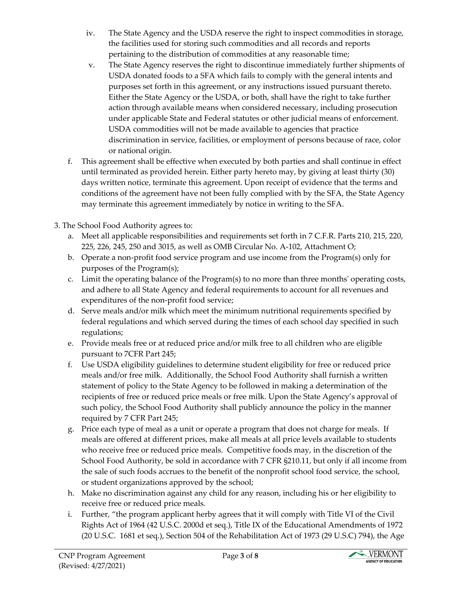- iv. The State Agency and the USDA reserve the right to inspect commodities in storage, the facilities used for storing such commodities and all records and reports pertaining to the distribution of commodities at any reasonable time;
- v. The State Agency reserves the right to discontinue immediately further shipments of USDA donated foods to a SFA which fails to comply with the general intents and purposes set forth in this agreement, or any instructions issued pursuant thereto. Either the State Agency or the USDA, or both, shall have the right to take further action through available means when considered necessary, including prosecution under applicable State and Federal statutes or other judicial means of enforcement. USDA commodities will not be made available to agencies that practice discrimination in service, facilities, or employment of persons because of race, color or national origin.
- f. This agreement shall be effective when executed by both parties and shall continue in effect until terminated as provided herein. Either party hereto may, by giving at least thirty (30) days written notice, terminate this agreement. Upon receipt of evidence that the terms and conditions of the agreement have not been fully complied with by the SFA, the State Agency may terminate this agreement immediately by notice in writing to the SFA.
- 3. The School Food Authority agrees to:
	- a. Meet all applicable responsibilities and requirements set forth in 7 C.F.R. Parts 210, 215, 220, 225, 226, 245, 250 and 3015, as well as OMB Circular No. A-102, Attachment O;
	- b. Operate a non-profit food service program and use income from the Program(s) only for purposes of the Program(s);
	- c. Limit the operating balance of the Program(s) to no more than three months' operating costs, and adhere to all State Agency and federal requirements to account for all revenues and expenditures of the non-profit food service;
	- d. Serve meals and/or milk which meet the minimum nutritional requirements specified by federal regulations and which served during the times of each school day specified in such regulations;
	- e. Provide meals free or at reduced price and/or milk free to all children who are eligible pursuant to 7CFR Part 245;
	- f. Use USDA eligibility guidelines to determine student eligibility for free or reduced price meals and/or free milk. Additionally, the School Food Authority shall furnish a written statement of policy to the State Agency to be followed in making a determination of the recipients of free or reduced price meals or free milk. Upon the State Agency's approval of such policy, the School Food Authority shall publicly announce the policy in the manner required by 7 CFR Part 245;
	- g. Price each type of meal as a unit or operate a program that does not charge for meals. If meals are offered at different prices, make all meals at all price levels available to students who receive free or reduced price meals. Competitive foods may, in the discretion of the School Food Authority, be sold in accordance with 7 CFR §210.11, but only if all income from the sale of such foods accrues to the benefit of the nonprofit school food service, the school, or student organizations approved by the school;
	- h. Make no discrimination against any child for any reason, including his or her eligibility to receive free or reduced price meals.
	- i. Further, "the program applicant herby agrees that it will comply with Title VI of the Civil Rights Act of 1964 (42 U.S.C. 2000d et seq.), Title IX of the Educational Amendments of 1972 (20 U.S.C. 1681 et seq.), Section 504 of the Rehabilitation Act of 1973 (29 U.S.C) 794), the Age

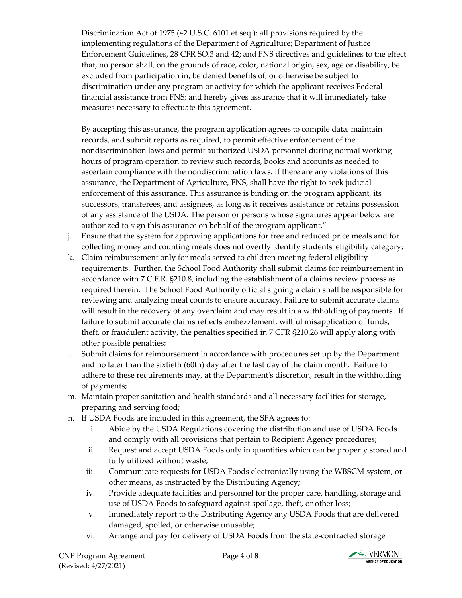Discrimination Act of 1975 (42 U.S.C. 6101 et seq.): all provisions required by the implementing regulations of the Department of Agriculture; Department of Justice Enforcement Guidelines, 28 CFR SO.3 and 42; and FNS directives and guidelines to the effect that, no person shall, on the grounds of race, color, national origin, sex, age or disability, be excluded from participation in, be denied benefits of, or otherwise be subject to discrimination under any program or activity for which the applicant receives Federal financial assistance from FNS; and hereby gives assurance that it will immediately take measures necessary to effectuate this agreement.

By accepting this assurance, the program application agrees to compile data, maintain records, and submit reports as required, to permit effective enforcement of the nondiscrimination laws and permit authorized USDA personnel during normal working hours of program operation to review such records, books and accounts as needed to ascertain compliance with the nondiscrimination laws. If there are any violations of this assurance, the Department of Agriculture, FNS, shall have the right to seek judicial enforcement of this assurance. This assurance is binding on the program applicant, its successors, transferees, and assignees, as long as it receives assistance or retains possession of any assistance of the USDA. The person or persons whose signatures appear below are authorized to sign this assurance on behalf of the program applicant."

- j. Ensure that the system for approving applications for free and reduced price meals and for collecting money and counting meals does not overtly identify students' eligibility category;
- k. Claim reimbursement only for meals served to children meeting federal eligibility requirements. Further, the School Food Authority shall submit claims for reimbursement in accordance with 7 C.F.R. §210.8, including the establishment of a claims review process as required therein. The School Food Authority official signing a claim shall be responsible for reviewing and analyzing meal counts to ensure accuracy. Failure to submit accurate claims will result in the recovery of any overclaim and may result in a withholding of payments. If failure to submit accurate claims reflects embezzlement, willful misapplication of funds, theft, or fraudulent activity, the penalties specified in 7 CFR §210.26 will apply along with other possible penalties;
- l. Submit claims for reimbursement in accordance with procedures set up by the Department and no later than the sixtieth (60th) day after the last day of the claim month. Failure to adhere to these requirements may, at the Department's discretion, result in the withholding of payments;
- m. Maintain proper sanitation and health standards and all necessary facilities for storage, preparing and serving food;
- n. If USDA Foods are included in this agreement, the SFA agrees to:
	- i. Abide by the USDA Regulations covering the distribution and use of USDA Foods and comply with all provisions that pertain to Recipient Agency procedures;
	- ii. Request and accept USDA Foods only in quantities which can be properly stored and fully utilized without waste;
	- iii. Communicate requests for USDA Foods electronically using the WBSCM system, or other means, as instructed by the Distributing Agency;
	- iv. Provide adequate facilities and personnel for the proper care, handling, storage and use of USDA Foods to safeguard against spoilage, theft, or other loss;
	- v. Immediately report to the Distributing Agency any USDA Foods that are delivered damaged, spoiled, or otherwise unusable;
	- vi. Arrange and pay for delivery of USDA Foods from the state-contracted storage

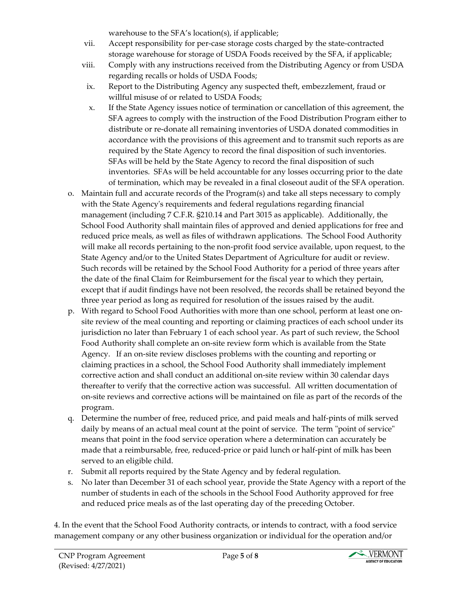warehouse to the SFA's location(s), if applicable;

- vii. Accept responsibility for per-case storage costs charged by the state-contracted storage warehouse for storage of USDA Foods received by the SFA, if applicable;
- viii. Comply with any instructions received from the Distributing Agency or from USDA regarding recalls or holds of USDA Foods;
- ix. Report to the Distributing Agency any suspected theft, embezzlement, fraud or willful misuse of or related to USDA Foods;
- x. If the State Agency issues notice of termination or cancellation of this agreement, the SFA agrees to comply with the instruction of the Food Distribution Program either to distribute or re-donate all remaining inventories of USDA donated commodities in accordance with the provisions of this agreement and to transmit such reports as are required by the State Agency to record the final disposition of such inventories. SFAs will be held by the State Agency to record the final disposition of such inventories. SFAs will be held accountable for any losses occurring prior to the date of termination, which may be revealed in a final closeout audit of the SFA operation.
- o. Maintain full and accurate records of the Program(s) and take all steps necessary to comply with the State Agency's requirements and federal regulations regarding financial management (including 7 C.F.R. §210.14 and Part 3015 as applicable). Additionally, the School Food Authority shall maintain files of approved and denied applications for free and reduced price meals, as well as files of withdrawn applications. The School Food Authority will make all records pertaining to the non-profit food service available, upon request, to the State Agency and/or to the United States Department of Agriculture for audit or review. Such records will be retained by the School Food Authority for a period of three years after the date of the final Claim for Reimbursement for the fiscal year to which they pertain, except that if audit findings have not been resolved, the records shall be retained beyond the three year period as long as required for resolution of the issues raised by the audit.
- p. With regard to School Food Authorities with more than one school, perform at least one onsite review of the meal counting and reporting or claiming practices of each school under its jurisdiction no later than February 1 of each school year. As part of such review, the School Food Authority shall complete an on-site review form which is available from the State Agency. If an on-site review discloses problems with the counting and reporting or claiming practices in a school, the School Food Authority shall immediately implement corrective action and shall conduct an additional on-site review within 30 calendar days thereafter to verify that the corrective action was successful. All written documentation of on-site reviews and corrective actions will be maintained on file as part of the records of the program.
- q. Determine the number of free, reduced price, and paid meals and half-pints of milk served daily by means of an actual meal count at the point of service. The term "point of service" means that point in the food service operation where a determination can accurately be made that a reimbursable, free, reduced-price or paid lunch or half-pint of milk has been served to an eligible child.
- r. Submit all reports required by the State Agency and by federal regulation.
- s. No later than December 31 of each school year, provide the State Agency with a report of the number of students in each of the schools in the School Food Authority approved for free and reduced price meals as of the last operating day of the preceding October.

4. In the event that the School Food Authority contracts, or intends to contract, with a food service management company or any other business organization or individual for the operation and/or

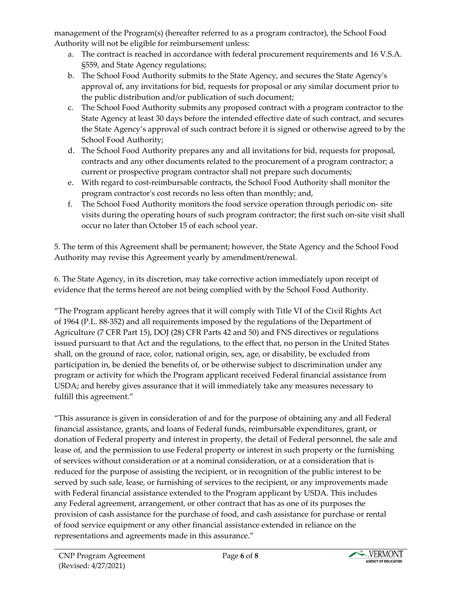management of the Program(s) (hereafter referred to as a program contractor), the School Food Authority will not be eligible for reimbursement unless:

- a. The contract is reached in accordance with federal procurement requirements and 16 V.S.A. §559, and State Agency regulations;
- b. The School Food Authority submits to the State Agency, and secures the State Agency's approval of, any invitations for bid, requests for proposal or any similar document prior to the public distribution and/or publication of such document;
- c. The School Food Authority submits any proposed contract with a program contractor to the State Agency at least 30 days before the intended effective date of such contract, and secures the State Agency's approval of such contract before it is signed or otherwise agreed to by the School Food Authority;
- d. The School Food Authority prepares any and all invitations for bid, requests for proposal, contracts and any other documents related to the procurement of a program contractor; a current or prospective program contractor shall not prepare such documents;
- e. With regard to cost-reimbursable contracts, the School Food Authority shall monitor the program contractor's cost records no less often than monthly; and,
- f. The School Food Authority monitors the food service operation through periodic on- site visits during the operating hours of such program contractor; the first such on-site visit shall occur no later than October 15 of each school year.

5. The term of this Agreement shall be permanent; however, the State Agency and the School Food Authority may revise this Agreement yearly by amendment/renewal.

6. The State Agency, in its discretion, may take corrective action immediately upon receipt of evidence that the terms hereof are not being complied with by the School Food Authority.

"The Program applicant hereby agrees that it will comply with Title VI of the Civil Rights Act of 1964 (P.L. 88-352) and all requirements imposed by the regulations of the Department of Agriculture (7 CFR Part 15), DOJ (28) CFR Parts 42 and 50) and FNS directives or regulations issued pursuant to that Act and the regulations, to the effect that, no person in the United States shall, on the ground of race, color, national origin, sex, age, or disability, be excluded from participation in, be denied the benefits of, or be otherwise subject to discrimination under any program or activity for which the Program applicant received Federal financial assistance from USDA; and hereby gives assurance that it will immediately take any measures necessary to fulfill this agreement."

"This assurance is given in consideration of and for the purpose of obtaining any and all Federal financial assistance, grants, and loans of Federal funds, reimbursable expenditures, grant, or donation of Federal property and interest in property, the detail of Federal personnel, the sale and lease of, and the permission to use Federal property or interest in such property or the furnishing of services without consideration or at a nominal consideration, or at a consideration that is reduced for the purpose of assisting the recipient, or in recognition of the public interest to be served by such sale, lease, or furnishing of services to the recipient, or any improvements made with Federal financial assistance extended to the Program applicant by USDA. This includes any Federal agreement, arrangement, or other contract that has as one of its purposes the provision of cash assistance for the purchase of food, and cash assistance for purchase or rental of food service equipment or any other financial assistance extended in reliance on the representations and agreements made in this assurance."

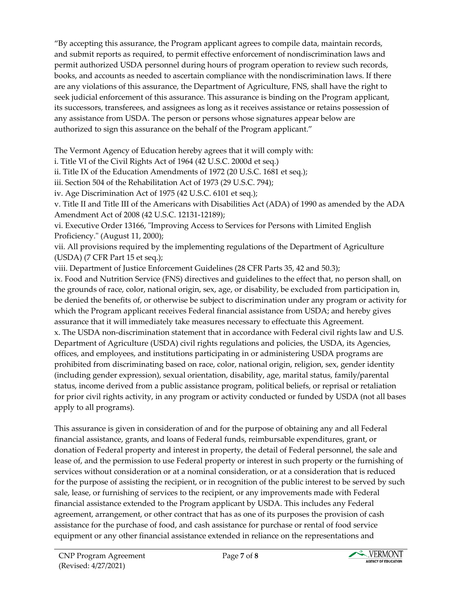"By accepting this assurance, the Program applicant agrees to compile data, maintain records, and submit reports as required, to permit effective enforcement of nondiscrimination laws and permit authorized USDA personnel during hours of program operation to review such records, books, and accounts as needed to ascertain compliance with the nondiscrimination laws. If there are any violations of this assurance, the Department of Agriculture, FNS, shall have the right to seek judicial enforcement of this assurance. This assurance is binding on the Program applicant, its successors, transferees, and assignees as long as it receives assistance or retains possession of any assistance from USDA. The person or persons whose signatures appear below are authorized to sign this assurance on the behalf of the Program applicant."

The Vermont Agency of Education hereby agrees that it will comply with:

i. Title VI of the Civil Rights Act of 1964 (42 U.S.C. 2000d et seq.)

ii. Title IX of the Education Amendments of 1972 (20 U.S.C. 1681 et seq.);

iii. Section 504 of the Rehabilitation Act of 1973 (29 U.S.C. 794);

iv. Age Discrimination Act of 1975 (42 U.S.C. 6101 et seq.);

v. Title II and Title III of the Americans with Disabilities Act (ADA) of 1990 as amended by the ADA Amendment Act of 2008 (42 U.S.C. 12131-12189);

vi. Executive Order 13166, "Improving Access to Services for Persons with Limited English Proficiency." (August 11, 2000);

vii. All provisions required by the implementing regulations of the Department of Agriculture (USDA) (7 CFR Part 15 et seq.);

viii. Department of Justice Enforcement Guidelines (28 CFR Parts 35, 42 and 50.3);

ix. Food and Nutrition Service (FNS) directives and guidelines to the effect that, no person shall, on the grounds of race, color, national origin, sex, age, or disability, be excluded from participation in, be denied the benefits of, or otherwise be subject to discrimination under any program or activity for which the Program applicant receives Federal financial assistance from USDA; and hereby gives assurance that it will immediately take measures necessary to effectuate this Agreement. x. The USDA non-discrimination statement that in accordance with Federal civil rights law and U.S. Department of Agriculture (USDA) civil rights regulations and policies, the USDA, its Agencies, offices, and employees, and institutions participating in or administering USDA programs are prohibited from discriminating based on race, color, national origin, religion, sex, gender identity (including gender expression), sexual orientation, disability, age, marital status, family/parental status, income derived from a public assistance program, political beliefs, or reprisal or retaliation for prior civil rights activity, in any program or activity conducted or funded by USDA (not all bases apply to all programs).

This assurance is given in consideration of and for the purpose of obtaining any and all Federal financial assistance, grants, and loans of Federal funds, reimbursable expenditures, grant, or donation of Federal property and interest in property, the detail of Federal personnel, the sale and lease of, and the permission to use Federal property or interest in such property or the furnishing of services without consideration or at a nominal consideration, or at a consideration that is reduced for the purpose of assisting the recipient, or in recognition of the public interest to be served by such sale, lease, or furnishing of services to the recipient, or any improvements made with Federal financial assistance extended to the Program applicant by USDA. This includes any Federal agreement, arrangement, or other contract that has as one of its purposes the provision of cash assistance for the purchase of food, and cash assistance for purchase or rental of food service equipment or any other financial assistance extended in reliance on the representations and